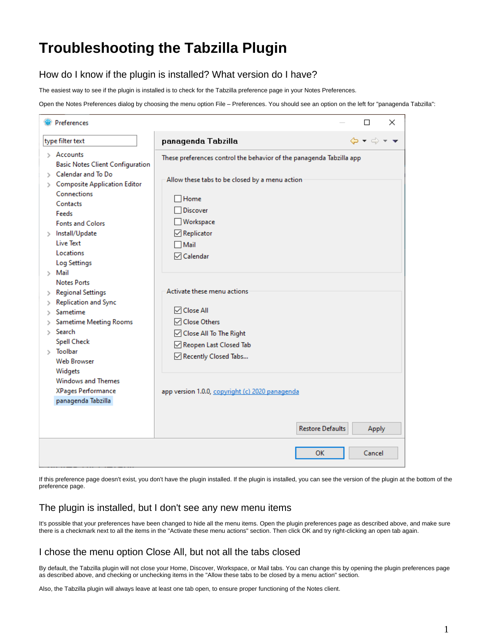# **Troubleshooting the Tabzilla Plugin**

## How do I know if the plugin is installed? What version do I have?

The easiest way to see if the plugin is installed is to check for the Tabzilla preference page in your Notes Preferences.

Open the Notes Preferences dialog by choosing the menu option File – Preferences. You should see an option on the left for "panagenda Tabzilla":

| Preferences                                                                                                                                                                                               | ⊓<br>×                                                                                                                                            |
|-----------------------------------------------------------------------------------------------------------------------------------------------------------------------------------------------------------|---------------------------------------------------------------------------------------------------------------------------------------------------|
| type filter text                                                                                                                                                                                          | $\Leftrightarrow \bullet \Leftrightarrow \bullet \bullet \bullet$<br>panagenda Tabzilla                                                           |
| $\Diamond$ Accounts<br><b>Basic Notes Client Configuration</b><br>Calendar and To Do<br>> Composite Application Editor<br>Connections<br>Contacts                                                         | These preferences control the behavior of the panagenda Tabzilla app<br>Allow these tabs to be closed by a menu action<br>Home<br><b>Discover</b> |
| Feeds<br><b>Fonts and Colors</b><br>> Install/Update<br><b>Live Text</b><br>Locations<br><b>Log Settings</b>                                                                                              | Workspace<br>$\boxdot$ Replicator<br>Mail<br>□ Calendar                                                                                           |
| $>$ Mail<br><b>Notes Ports</b><br>> Regional Settings<br>Replication and Sync<br>Sametime<br>Sametime Meeting Rooms<br>Search<br>N.<br><b>Spell Check</b><br>$>$ Toolbar<br><b>Web Browser</b><br>Widgets | Activate these menu actions<br><b>□</b> Close All<br>□ Close Others<br>○ Close All To The Right<br>Reopen Last Closed Tab<br>Recently Closed Tabs |
| Windows and Themes<br>XPages Performance<br>panagenda Tabzilla                                                                                                                                            | app version 1.0.0, copyright (c) 2020 panagenda<br><b>Restore Defaults</b><br>Apply                                                               |
|                                                                                                                                                                                                           | OK<br>Cancel                                                                                                                                      |

If this preference page doesn't exist, you don't have the plugin installed. If the plugin is installed, you can see the version of the plugin at the bottom of the preference page.

#### The plugin is installed, but I don't see any new menu items

It's possible that your preferences have been changed to hide all the menu items. Open the plugin preferences page as described above, and make sure there is a checkmark next to all the items in the "Activate these menu actions" section. Then click OK and try right-clicking an open tab again.

### I chose the menu option Close All, but not all the tabs closed

By default, the Tabzilla plugin will not close your Home, Discover, Workspace, or Mail tabs. You can change this by opening the plugin preferences page as described above, and checking or unchecking items in the "Allow these tabs to be closed by a menu action" section.

Also, the Tabzilla plugin will always leave at least one tab open, to ensure proper functioning of the Notes client.